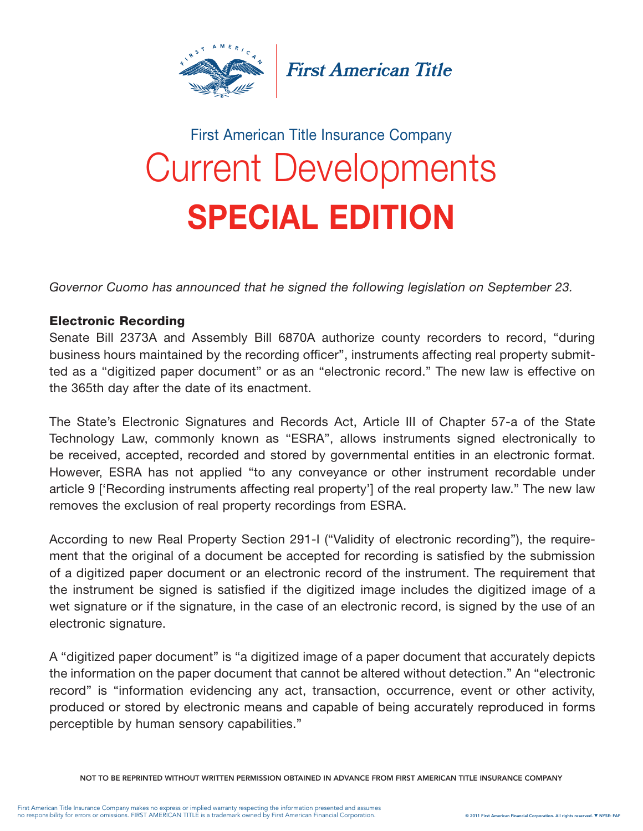

**First American Title** 

## Current Developments SPECIAL EDITION First American Title Insurance Company

*Governor Cuomo has announced that he signed the following legislation on September 23.*

## Electronic Recording

Senate Bill 2373A and Assembly Bill 6870A authorize county recorders to record, "during business hours maintained by the recording officer", instruments affecting real property submitted as a "digitized paper document" or as an "electronic record." The new law is effective on the 365th day after the date of its enactment.

The State's Electronic Signatures and Records Act, Article III of Chapter 57-a of the State Technology Law, commonly known as "ESRA", allows instruments signed electronically to be received, accepted, recorded and stored by governmental entities in an electronic format. However, ESRA has not applied "to any conveyance or other instrument recordable under article 9 ['Recording instruments affecting real property'] of the real property law." The new law removes the exclusion of real property recordings from ESRA.

According to new Real Property Section 291-I ("Validity of electronic recording"), the requirement that the original of a document be accepted for recording is satisfied by the submission of a digitized paper document or an electronic record of the instrument. The requirement that the instrument be signed is satisfied if the digitized image includes the digitized image of a wet signature or if the signature, in the case of an electronic record, is signed by the use of an electronic signature.

A "digitized paper document" is "a digitized image of a paper document that accurately depicts the information on the paper document that cannot be altered without detection." An "electronic record" is "information evidencing any act, transaction, occurrence, event or other activity, produced or stored by electronic means and capable of being accurately reproduced in forms perceptible by human sensory capabilities."

NOT TO BE REPRINTED WITHOUT WRITTEN PERMISSION OBTAINED IN ADVANCE FROM FIRST AMERICAN TITLE INSURANCE COMPANY